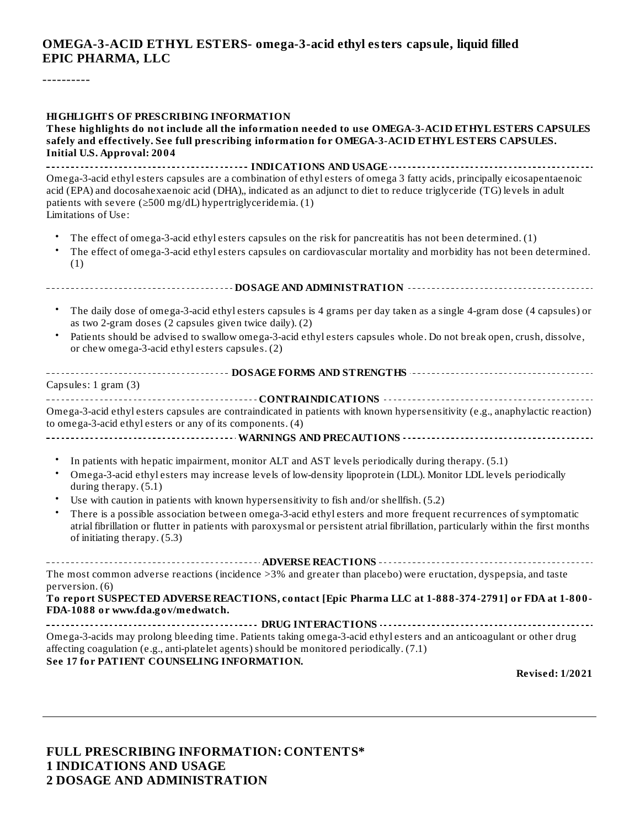#### **OMEGA-3-ACID ETHYL ESTERS- omega-3-acid ethyl esters capsule, liquid filled EPIC PHARMA, LLC**

----------

#### **HIGHLIGHTS OF PRESCRIBING INFORMATION**

**These highlights do not include all the information needed to use OMEGA-3-ACID ETHYL ESTERS CAPSULES safely and effectively. See full prescribing information for OMEGA-3-ACID ETHYL ESTERS CAPSULES. Initial U.S. Approval: 2004**

**INDICATIONS AND USAGE INDICATIONS** *AND* **USAGE** *Influential <b>Properties* Omega-3-acid ethyl esters capsules are a combination of ethyl esters of omega 3 fatty acids, principally eicosapentaenoic acid (EPA) and docosahexaenoic acid (DHA),, indicated as an adjunct to diet to reduce triglyceride (TG) levels in adult patients with severe ( $\geq$ 500 mg/dL) hypertriglyceridemia. (1) Limitations of Use:

- The effect of omega-3-acid ethyl esters capsules on the risk for pancreatitis has not been determined. (1)
- The effect of omega-3-acid ethyl esters capsules on cardiovascular mortality and morbidity has not been determined. (1)
- The daily dose of omega-3-acid ethyl esters capsules is 4 grams per day taken as a single 4-gram dose (4 capsules) or as two 2-gram doses (2 capsules given twice daily). (2)

**DOSAGE AND ADMINISTRATION**

• Patients should be advised to swallow omega-3-acid ethyl esters capsules whole. Do not break open, crush, dissolve, or chew omega-3-acid ethyl esters capsules. (2)

| Capsules: 1 gram (3)                                                                                                                                                                       |
|--------------------------------------------------------------------------------------------------------------------------------------------------------------------------------------------|
|                                                                                                                                                                                            |
|                                                                                                                                                                                            |
| Omega-3-acid ethyl esters capsules are contraindicated in patients with known hypersensitivity (e.g., anaphylactic reaction)<br>to omega-3-acid ethyl esters or any of its components. (4) |
|                                                                                                                                                                                            |

- In patients with hepatic impairment, monitor ALT and AST levels periodically during therapy. (5.1)
- Omega-3-acid ethyl esters may increase levels of low-density lipoprotein (LDL). Monitor LDL levels periodically during therapy. (5.1)
- Use with caution in patients with known hypersensitivity to fish and/or shellfish. (5.2)
- There is a possible association between omega-3-acid ethyl esters and more frequent recurrences of symptomatic atrial fibrillation or flutter in patients with paroxysmal or persistent atrial fibrillation, particularly within the first months of initiating therapy. (5.3)

**ADVERSE REACTIONS** The most common adverse reactions (incidence >3% and greater than placebo) were eructation, dyspepsia, and taste perversion. (6)

**To report SUSPECTED ADVERSE REACTIONS, contact [Epic Pharma LLC at 1-888-374-2791] or FDA at 1-800- FDA-1088 or www.fda.gov/medwatch.**

**DRUG INTERACTIONS** Omega-3-acids may prolong bleeding time. Patients taking omega-3-acid ethyl esters and an anticoagulant or other drug affecting coagulation (e.g., anti-platelet agents) should be monitored periodically. (7.1) **See 17 for PATIENT COUNSELING INFORMATION.**

**Revised: 1/2021**

#### **FULL PRESCRIBING INFORMATION: CONTENTS\* 1 INDICATIONS AND USAGE 2 DOSAGE AND ADMINISTRATION**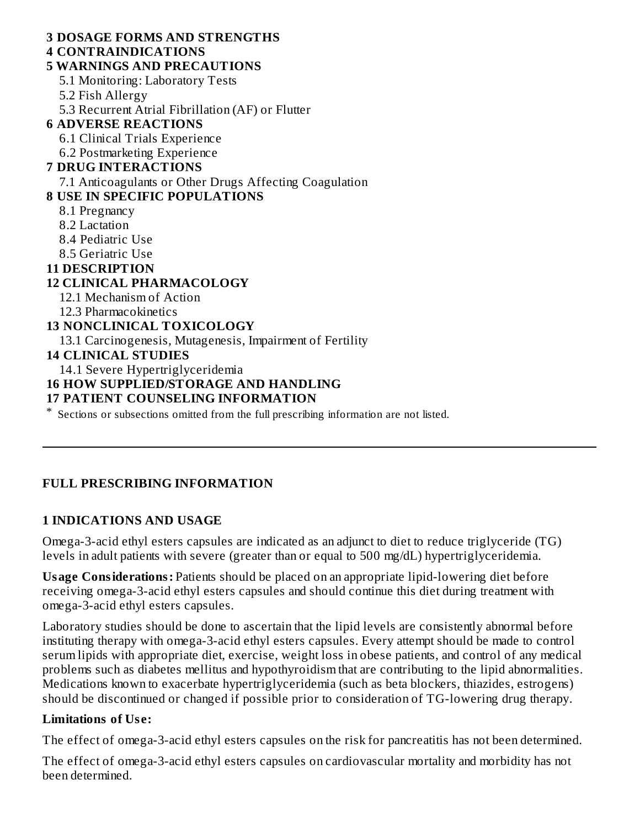### **3 DOSAGE FORMS AND STRENGTHS**

### **4 CONTRAINDICATIONS**

# **5 WARNINGS AND PRECAUTIONS**

5.1 Monitoring: Laboratory Tests

- 5.2 Fish Allergy
- 5.3 Recurrent Atrial Fibrillation (AF) or Flutter

# **6 ADVERSE REACTIONS**

- 6.1 Clinical Trials Experience
- 6.2 Postmarketing Experience

# **7 DRUG INTERACTIONS**

7.1 Anticoagulants or Other Drugs Affecting Coagulation

# **8 USE IN SPECIFIC POPULATIONS**

- 8.1 Pregnancy
- 8.2 Lactation
- 8.4 Pediatric Use
- 8.5 Geriatric Use

# **11 DESCRIPTION**

### **12 CLINICAL PHARMACOLOGY**

- 12.1 Mechanism of Action
- 12.3 Pharmacokinetics

### **13 NONCLINICAL TOXICOLOGY**

13.1 Carcinogenesis, Mutagenesis, Impairment of Fertility

### **14 CLINICAL STUDIES**

14.1 Severe Hypertriglyceridemia

# **16 HOW SUPPLIED/STORAGE AND HANDLING**

### **17 PATIENT COUNSELING INFORMATION**

\* Sections or subsections omitted from the full prescribing information are not listed.

# **FULL PRESCRIBING INFORMATION**

# **1 INDICATIONS AND USAGE**

Omega-3-acid ethyl esters capsules are indicated as an adjunct to diet to reduce triglyceride (TG) levels in adult patients with severe (greater than or equal to 500 mg/dL) hypertriglyceridemia.

**Usage Considerations:** Patients should be placed on an appropriate lipid-lowering diet before receiving omega-3-acid ethyl esters capsules and should continue this diet during treatment with omega-3-acid ethyl esters capsules.

Laboratory studies should be done to ascertain that the lipid levels are consistently abnormal before instituting therapy with omega-3-acid ethyl esters capsules. Every attempt should be made to control serum lipids with appropriate diet, exercise, weight loss in obese patients, and control of any medical problems such as diabetes mellitus and hypothyroidism that are contributing to the lipid abnormalities. Medications known to exacerbate hypertriglyceridemia (such as beta blockers, thiazides, estrogens) should be discontinued or changed if possible prior to consideration of TG-lowering drug therapy.

# **Limitations of Us e:**

The effect of omega-3-acid ethyl esters capsules on the risk for pancreatitis has not been determined.

The effect of omega-3-acid ethyl esters capsules on cardiovascular mortality and morbidity has not been determined.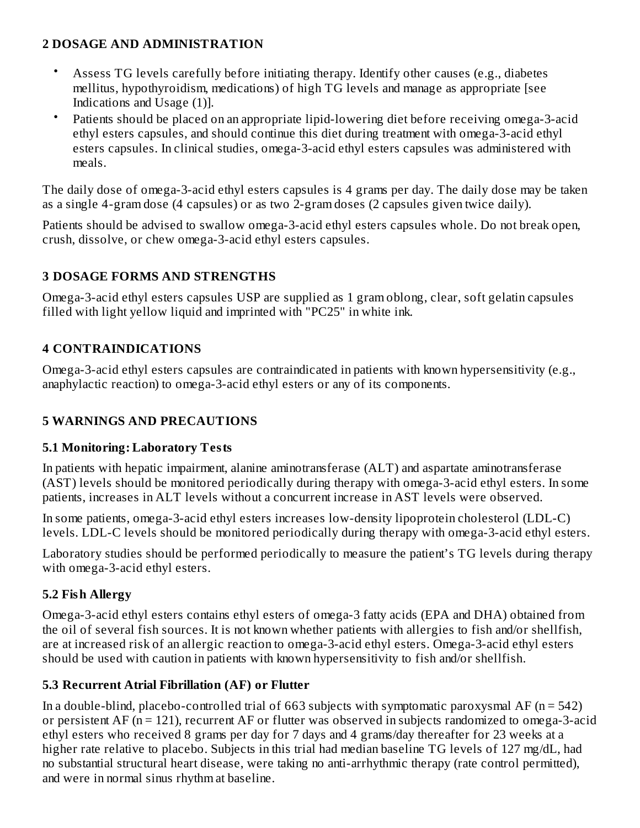# **2 DOSAGE AND ADMINISTRATION**

- Assess TG levels carefully before initiating therapy. Identify other causes (e.g., diabetes mellitus, hypothyroidism, medications) of high TG levels and manage as appropriate [see Indications and Usage (1)].
- Patients should be placed on an appropriate lipid-lowering diet before receiving omega-3-acid ethyl esters capsules, and should continue this diet during treatment with omega-3-acid ethyl esters capsules. In clinical studies, omega-3-acid ethyl esters capsules was administered with meals.

The daily dose of omega-3-acid ethyl esters capsules is 4 grams per day. The daily dose may be taken as a single 4-gram dose (4 capsules) or as two 2-gram doses (2 capsules given twice daily).

Patients should be advised to swallow omega-3-acid ethyl esters capsules whole. Do not break open, crush, dissolve, or chew omega-3-acid ethyl esters capsules.

# **3 DOSAGE FORMS AND STRENGTHS**

Omega-3-acid ethyl esters capsules USP are supplied as 1 gram oblong, clear, soft gelatin capsules filled with light yellow liquid and imprinted with "PC25" in white ink.

# **4 CONTRAINDICATIONS**

Omega-3-acid ethyl esters capsules are contraindicated in patients with known hypersensitivity (e.g., anaphylactic reaction) to omega-3-acid ethyl esters or any of its components.

# **5 WARNINGS AND PRECAUTIONS**

### **5.1 Monitoring: Laboratory Tests**

In patients with hepatic impairment, alanine aminotransferase (ALT) and aspartate aminotransferase (AST) levels should be monitored periodically during therapy with omega-3-acid ethyl esters. In some patients, increases in ALT levels without a concurrent increase in AST levels were observed.

In some patients, omega-3-acid ethyl esters increases low-density lipoprotein cholesterol (LDL-C) levels. LDL-C levels should be monitored periodically during therapy with omega-3-acid ethyl esters.

Laboratory studies should be performed periodically to measure the patient's TG levels during therapy with omega-3-acid ethyl esters.

# **5.2 Fish Allergy**

Omega-3-acid ethyl esters contains ethyl esters of omega-3 fatty acids (EPA and DHA) obtained from the oil of several fish sources. It is not known whether patients with allergies to fish and/or shellfish, are at increased risk of an allergic reaction to omega-3-acid ethyl esters. Omega-3-acid ethyl esters should be used with caution in patients with known hypersensitivity to fish and/or shellfish.

# **5.3 Recurrent Atrial Fibrillation (AF) or Flutter**

In a double-blind, placebo-controlled trial of 663 subjects with symptomatic paroxysmal AF ( $n = 542$ ) or persistent AF (n = 121), recurrent AF or flutter was observed in subjects randomized to omega-3-acid ethyl esters who received 8 grams per day for 7 days and 4 grams/day thereafter for 23 weeks at a higher rate relative to placebo. Subjects in this trial had median baseline TG levels of 127 mg/dL, had no substantial structural heart disease, were taking no anti-arrhythmic therapy (rate control permitted), and were in normal sinus rhythm at baseline.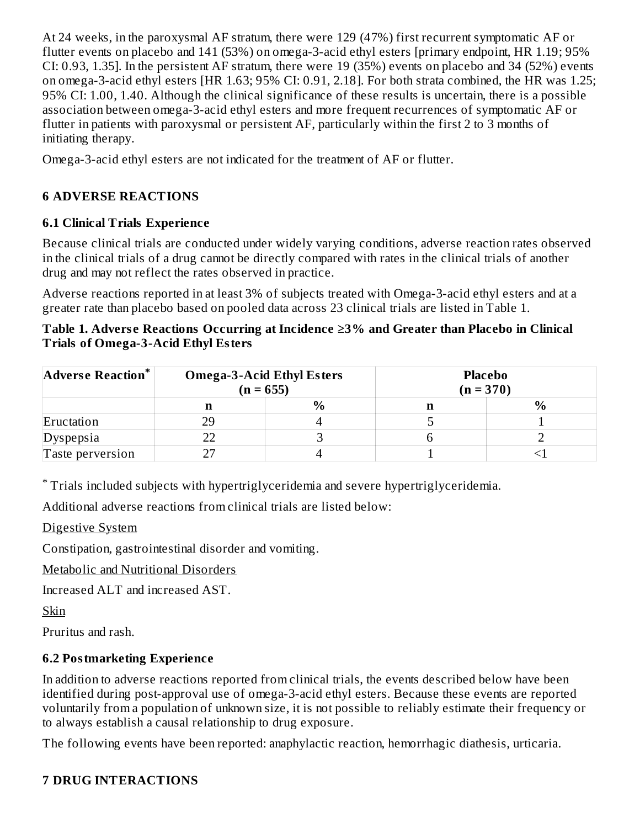At 24 weeks, in the paroxysmal AF stratum, there were 129 (47%) first recurrent symptomatic AF or flutter events on placebo and 141 (53%) on omega-3-acid ethyl esters [primary endpoint, HR 1.19; 95% CI: 0.93, 1.35]. In the persistent AF stratum, there were 19 (35%) events on placebo and 34 (52%) events on omega-3-acid ethyl esters [HR 1.63; 95% CI: 0.91, 2.18]. For both strata combined, the HR was 1.25; 95% CI: 1.00, 1.40. Although the clinical significance of these results is uncertain, there is a possible association between omega-3-acid ethyl esters and more frequent recurrences of symptomatic AF or flutter in patients with paroxysmal or persistent AF, particularly within the first 2 to 3 months of initiating therapy.

Omega-3-acid ethyl esters are not indicated for the treatment of AF or flutter.

# **6 ADVERSE REACTIONS**

### **6.1 Clinical Trials Experience**

Because clinical trials are conducted under widely varying conditions, adverse reaction rates observed in the clinical trials of a drug cannot be directly compared with rates in the clinical trials of another drug and may not reflect the rates observed in practice.

Adverse reactions reported in at least 3% of subjects treated with Omega-3-acid ethyl esters and at a greater rate than placebo based on pooled data across 23 clinical trials are listed in Table 1.

#### **Table 1. Advers e Reactions Occurring at Incidence ≥3% and Greater than Placebo in Clinical Trials of Omega-3-Acid Ethyl Esters**

| Adverse Reaction* | <b>Omega-3-Acid Ethyl Esters</b><br>$(n = 655)$ |      | <b>Placebo</b><br>$(n = 370)$ |  |  |
|-------------------|-------------------------------------------------|------|-------------------------------|--|--|
|                   |                                                 | $\%$ | п                             |  |  |
| Eructation        | 29                                              |      |                               |  |  |
| Dyspepsia         |                                                 |      |                               |  |  |
| Taste perversion  |                                                 |      |                               |  |  |

Trials included subjects with hypertriglyceridemia and severe hypertriglyceridemia. \*

Additional adverse reactions from clinical trials are listed below:

Digestive System

Constipation, gastrointestinal disorder and vomiting.

Metabolic and Nutritional Disorders

Increased ALT and increased AST.

Skin

Pruritus and rash.

# **6.2 Postmarketing Experience**

In addition to adverse reactions reported from clinical trials, the events described below have been identified during post-approval use of omega-3-acid ethyl esters. Because these events are reported voluntarily from a population of unknown size, it is not possible to reliably estimate their frequency or to always establish a causal relationship to drug exposure.

The following events have been reported: anaphylactic reaction, hemorrhagic diathesis, urticaria.

# **7 DRUG INTERACTIONS**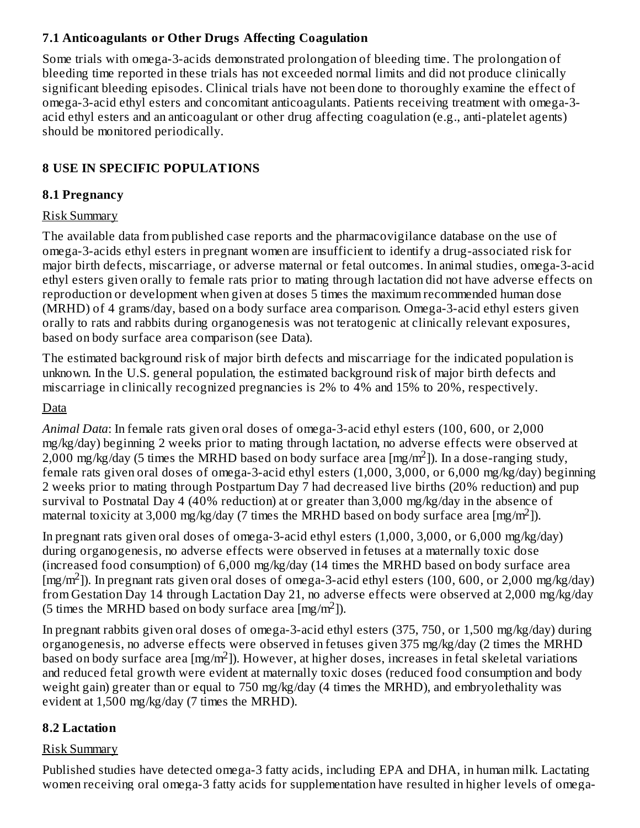# **7.1 Anticoagulants or Other Drugs Affecting Coagulation**

Some trials with omega-3-acids demonstrated prolongation of bleeding time. The prolongation of bleeding time reported in these trials has not exceeded normal limits and did not produce clinically significant bleeding episodes. Clinical trials have not been done to thoroughly examine the effect of omega-3-acid ethyl esters and concomitant anticoagulants. Patients receiving treatment with omega-3 acid ethyl esters and an anticoagulant or other drug affecting coagulation (e.g., anti-platelet agents) should be monitored periodically.

# **8 USE IN SPECIFIC POPULATIONS**

### **8.1 Pregnancy**

### Risk Summary

The available data from published case reports and the pharmacovigilance database on the use of omega-3-acids ethyl esters in pregnant women are insufficient to identify a drug-associated risk for major birth defects, miscarriage, or adverse maternal or fetal outcomes. In animal studies, omega-3-acid ethyl esters given orally to female rats prior to mating through lactation did not have adverse effects on reproduction or development when given at doses 5 times the maximum recommended human dose (MRHD) of 4 grams/day, based on a body surface area comparison. Omega-3-acid ethyl esters given orally to rats and rabbits during organogenesis was not teratogenic at clinically relevant exposures, based on body surface area comparison (see Data).

The estimated background risk of major birth defects and miscarriage for the indicated population is unknown. In the U.S. general population, the estimated background risk of major birth defects and miscarriage in clinically recognized pregnancies is 2% to 4% and 15% to 20%, respectively.

# Data

*Animal Data*: In female rats given oral doses of omega-3-acid ethyl esters (100, 600, or 2,000 mg/kg/day) beginning 2 weeks prior to mating through lactation, no adverse effects were observed at 2,000 mg/kg/day (5 times the MRHD based on body surface area [mg/m<sup>2</sup>]). In a dose-ranging study, female rats given oral doses of omega-3-acid ethyl esters (1,000, 3,000, or 6,000 mg/kg/day) beginning 2 weeks prior to mating through Postpartum Day 7 had decreased live births (20% reduction) and pup survival to Postnatal Day 4 (40% reduction) at or greater than 3,000 mg/kg/day in the absence of maternal toxicity at 3,000 mg/kg/day (7 times the MRHD based on body surface area [mg/m<sup>2</sup>]).

In pregnant rats given oral doses of omega-3-acid ethyl esters (1,000, 3,000, or 6,000 mg/kg/day) during organogenesis, no adverse effects were observed in fetuses at a maternally toxic dose (increased food consumption) of 6,000 mg/kg/day (14 times the MRHD based on body surface area  $[mg/m<sup>2</sup>]$ ). In pregnant rats given oral doses of omega-3-acid ethyl esters (100, 600, or 2,000 mg/kg/day) from Gestation Day 14 through Lactation Day 21, no adverse effects were observed at 2,000 mg/kg/day (5 times the MRHD based on body surface area [mg/m<sup>2</sup>]).

In pregnant rabbits given oral doses of omega-3-acid ethyl esters (375, 750, or 1,500 mg/kg/day) during organogenesis, no adverse effects were observed in fetuses given 375 mg/kg/day (2 times the MRHD based on body surface area [mg/m<sup>2</sup>]). However, at higher doses, increases in fetal skeletal variations and reduced fetal growth were evident at maternally toxic doses (reduced food consumption and body weight gain) greater than or equal to 750 mg/kg/day (4 times the MRHD), and embryolethality was evident at 1,500 mg/kg/day (7 times the MRHD).

### **8.2 Lactation**

### Risk Summary

Published studies have detected omega-3 fatty acids, including EPA and DHA, in human milk. Lactating women receiving oral omega-3 fatty acids for supplementation have resulted in higher levels of omega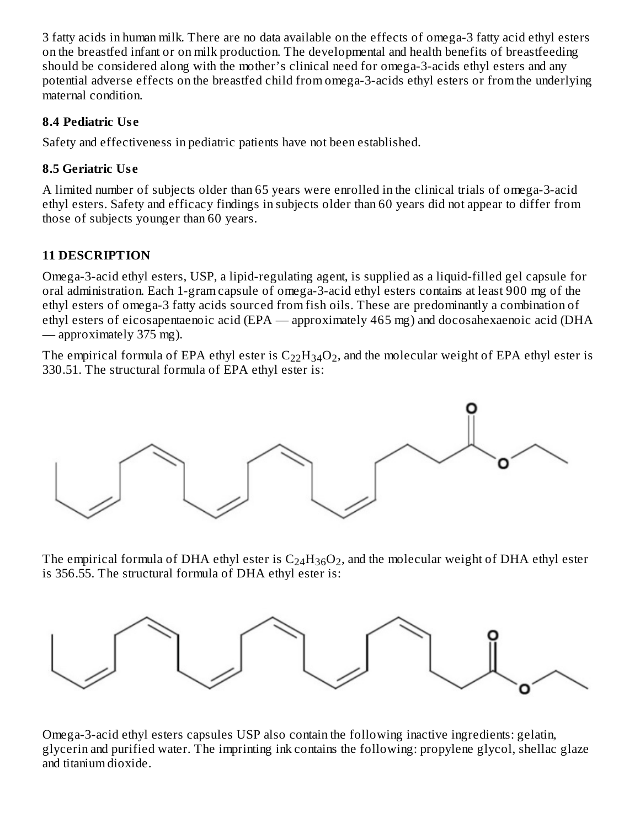3 fatty acids in human milk. There are no data available on the effects of omega-3 fatty acid ethyl esters on the breastfed infant or on milk production. The developmental and health benefits of breastfeeding should be considered along with the mother's clinical need for omega-3-acids ethyl esters and any potential adverse effects on the breastfed child from omega-3-acids ethyl esters or from the underlying maternal condition.

# **8.4 Pediatric Us e**

Safety and effectiveness in pediatric patients have not been established.

# **8.5 Geriatric Us e**

A limited number of subjects older than 65 years were enrolled in the clinical trials of omega-3-acid ethyl esters. Safety and efficacy findings in subjects older than 60 years did not appear to differ from those of subjects younger than 60 years.

# **11 DESCRIPTION**

Omega-3-acid ethyl esters, USP, a lipid-regulating agent, is supplied as a liquid-filled gel capsule for oral administration. Each 1-gram capsule of omega-3-acid ethyl esters contains at least 900 mg of the ethyl esters of omega-3 fatty acids sourced from fish oils. These are predominantly a combination of ethyl esters of eicosapentaenoic acid (EPA — approximately 465 mg) and docosahexaenoic acid (DHA — approximately 375 mg).

The empirical formula of EPA ethyl ester is  $\rm{C_{22}H_{34}O_2}$ , and the molecular weight of EPA ethyl ester is 330.51. The structural formula of EPA ethyl ester is:



The empirical formula of DHA ethyl ester is  $\rm{C_{24}H_{36}O_2}$ , and the molecular weight of DHA ethyl ester is 356.55. The structural formula of DHA ethyl ester is:



Omega-3-acid ethyl esters capsules USP also contain the following inactive ingredients: gelatin, glycerin and purified water. The imprinting ink contains the following: propylene glycol, shellac glaze and titanium dioxide.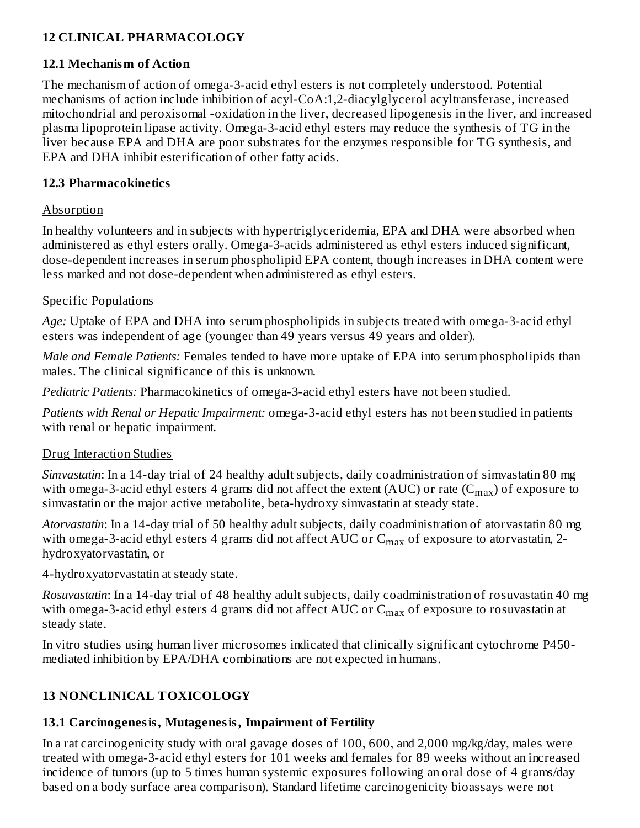# **12 CLINICAL PHARMACOLOGY**

### **12.1 Mechanism of Action**

The mechanism of action of omega-3-acid ethyl esters is not completely understood. Potential mechanisms of action include inhibition of acyl-CoA:1,2-diacylglycerol acyltransferase, increased mitochondrial and peroxisomal -oxidation in the liver, decreased lipogenesis in the liver, and increased plasma lipoprotein lipase activity. Omega-3-acid ethyl esters may reduce the synthesis of TG in the liver because EPA and DHA are poor substrates for the enzymes responsible for TG synthesis, and EPA and DHA inhibit esterification of other fatty acids.

### **12.3 Pharmacokinetics**

### Absorption

In healthy volunteers and in subjects with hypertriglyceridemia, EPA and DHA were absorbed when administered as ethyl esters orally. Omega-3-acids administered as ethyl esters induced significant, dose-dependent increases in serum phospholipid EPA content, though increases in DHA content were less marked and not dose-dependent when administered as ethyl esters.

### Specific Populations

*Age:* Uptake of EPA and DHA into serum phospholipids in subjects treated with omega-3-acid ethyl esters was independent of age (younger than 49 years versus 49 years and older).

*Male and Female Patients:* Females tended to have more uptake of EPA into serum phospholipids than males. The clinical significance of this is unknown.

*Pediatric Patients:* Pharmacokinetics of omega-3-acid ethyl esters have not been studied.

*Patients with Renal or Hepatic Impairment:* omega-3-acid ethyl esters has not been studied in patients with renal or hepatic impairment.

# Drug Interaction Studies

*Simvastatin*: In a 14-day trial of 24 healthy adult subjects, daily coadministration of simvastatin 80 mg with omega-3-acid ethyl esters 4 grams did not affect the extent (AUC) or rate (C $_{\rm max}$ ) of exposure to simvastatin or the major active metabolite, beta-hydroxy simvastatin at steady state.

*Atorvastatin*: In a 14-day trial of 50 healthy adult subjects, daily coadministration of atorvastatin 80 mg with omega-3-acid ethyl esters 4 grams did not affect AUC or  $\rm C_{max}$  of exposure to atorvastatin, 2hydroxyatorvastatin, or

4-hydroxyatorvastatin at steady state.

*Rosuvastatin*: In a 14-day trial of 48 healthy adult subjects, daily coadministration of rosuvastatin 40 mg with omega-3-acid ethyl esters 4 grams did not affect AUC or  $\mathsf{C}_{\max}$  of exposure to rosuvastatin at steady state.

In vitro studies using human liver microsomes indicated that clinically significant cytochrome P450 mediated inhibition by EPA/DHA combinations are not expected in humans.

# **13 NONCLINICAL TOXICOLOGY**

# **13.1 Carcinogenesis, Mutagenesis, Impairment of Fertility**

In a rat carcinogenicity study with oral gavage doses of 100, 600, and 2,000 mg/kg/day, males were treated with omega-3-acid ethyl esters for 101 weeks and females for 89 weeks without an increased incidence of tumors (up to 5 times human systemic exposures following an oral dose of 4 grams/day based on a body surface area comparison). Standard lifetime carcinogenicity bioassays were not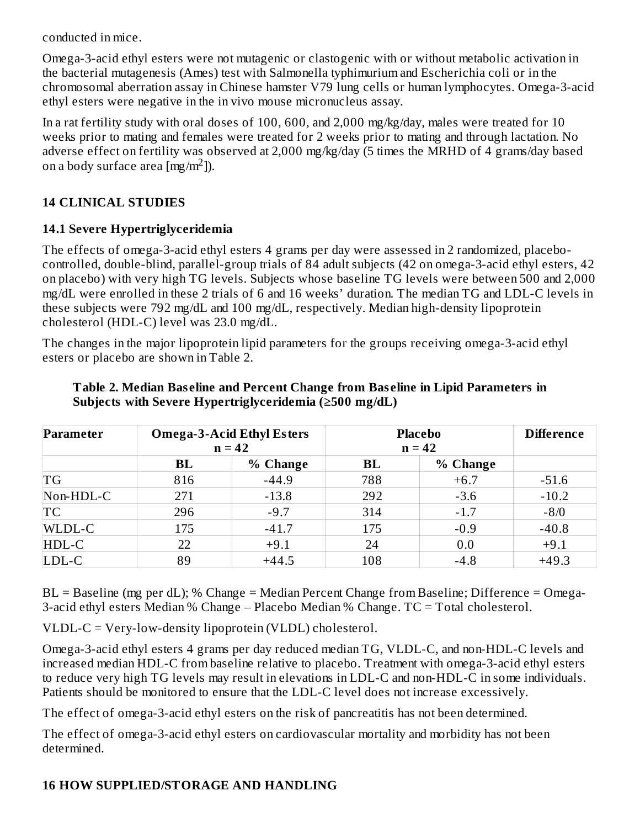conducted in mice.

Omega-3-acid ethyl esters were not mutagenic or clastogenic with or without metabolic activation in the bacterial mutagenesis (Ames) test with Salmonella typhimurium and Escherichia coli or in the chromosomal aberration assay in Chinese hamster V79 lung cells or human lymphocytes. Omega-3-acid ethyl esters were negative in the in vivo mouse micronucleus assay.

In a rat fertility study with oral doses of 100, 600, and 2,000 mg/kg/day, males were treated for 10 weeks prior to mating and females were treated for 2 weeks prior to mating and through lactation. No adverse effect on fertility was observed at 2,000 mg/kg/day (5 times the MRHD of 4 grams/day based on a body surface area  $[\text{mg/m}^2]$ ).

#### **14 CLINICAL STUDIES**

### **14.1 Severe Hypertriglyceridemia**

The effects of omega-3-acid ethyl esters 4 grams per day were assessed in 2 randomized, placebocontrolled, double-blind, parallel-group trials of 84 adult subjects (42 on omega-3-acid ethyl esters, 42 on placebo) with very high TG levels. Subjects whose baseline TG levels were between 500 and 2,000 mg/dL were enrolled in these 2 trials of 6 and 16 weeks' duration. The median TG and LDL-C levels in these subjects were 792 mg/dL and 100 mg/dL, respectively. Median high-density lipoprotein cholesterol (HDL-C) level was 23.0 mg/dL.

The changes in the major lipoprotein lipid parameters for the groups receiving omega-3-acid ethyl esters or placebo are shown in Table 2.

| Parameter | <b>Omega-3-Acid Ethyl Esters</b><br>$n = 42$ |          | <b>Placebo</b><br>$n = 42$ |          | <b>Difference</b> |
|-----------|----------------------------------------------|----------|----------------------------|----------|-------------------|
|           | <b>BL</b>                                    | % Change | BL                         | % Change |                   |
| TG        | 816                                          | $-44.9$  | 788                        | $+6.7$   | $-51.6$           |
| Non-HDL-C | 271                                          | $-13.8$  | 292                        | $-3.6$   | $-10.2$           |
| TC        | 296                                          | $-9.7$   | 314                        | $-1.7$   | $-8/0$            |
| WLDL-C    | 175                                          | $-41.7$  | 175                        | $-0.9$   | $-40.8$           |
| HDL-C     | 22                                           | $+9.1$   | 24                         | 0.0      | $+9.1$            |
| LDL-C     | 89                                           | $+44.5$  | 108                        | $-4.8$   | $+49.3$           |

#### **Table 2. Median Bas eline and Percent Change from Bas eline in Lipid Parameters in Subjects with Severe Hypertriglyceridemia (≥500 mg/dL)**

BL = Baseline (mg per dL); % Change = Median Percent Change from Baseline; Difference = Omega-3-acid ethyl esters Median % Change – Placebo Median % Change. TC = Total cholesterol.

VLDL-C = Very-low-density lipoprotein (VLDL) cholesterol.

Omega-3-acid ethyl esters 4 grams per day reduced median TG, VLDL-C, and non-HDL-C levels and increased median HDL-C from baseline relative to placebo. Treatment with omega-3-acid ethyl esters to reduce very high TG levels may result in elevations in LDL-C and non-HDL-C in some individuals. Patients should be monitored to ensure that the LDL-C level does not increase excessively.

The effect of omega-3-acid ethyl esters on the risk of pancreatitis has not been determined.

The effect of omega-3-acid ethyl esters on cardiovascular mortality and morbidity has not been determined.

### **16 HOW SUPPLIED/STORAGE AND HANDLING**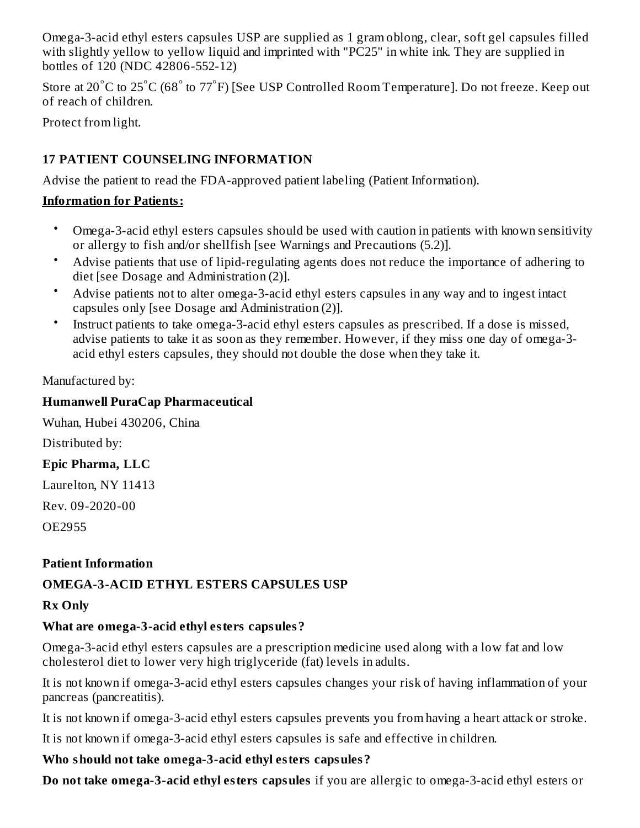Omega-3-acid ethyl esters capsules USP are supplied as 1 gram oblong, clear, soft gel capsules filled with slightly yellow to yellow liquid and imprinted with "PC25" in white ink. They are supplied in bottles of 120 (NDC 42806-552-12)

Store at 20 $^{\circ}$ C to 25 $^{\circ}$ C (68 $^{\circ}$  to 77 $^{\circ}$ F) [See USP Controlled Room Temperature]. Do not freeze. Keep out of reach of children.

Protect from light.

# **17 PATIENT COUNSELING INFORMATION**

Advise the patient to read the FDA-approved patient labeling (Patient Information).

# **Information for Patients:**

- Omega-3-acid ethyl esters capsules should be used with caution in patients with known sensitivity or allergy to fish and/or shellfish [see Warnings and Precautions (5.2)].
- Advise patients that use of lipid-regulating agents does not reduce the importance of adhering to diet [see Dosage and Administration (2)].
- Advise patients not to alter omega-3-acid ethyl esters capsules in any way and to ingest intact capsules only [see Dosage and Administration (2)].
- Instruct patients to take omega-3-acid ethyl esters capsules as prescribed. If a dose is missed, advise patients to take it as soon as they remember. However, if they miss one day of omega-3 acid ethyl esters capsules, they should not double the dose when they take it.

# Manufactured by:

# **Humanwell PuraCap Pharmaceutical**

Wuhan, Hubei 430206, China

Distributed by:

# **Epic Pharma, LLC**

Laurelton, NY 11413

Rev. 09-2020-00

OE2955

# **Patient Information**

# **OMEGA-3-ACID ETHYL ESTERS CAPSULES USP**

# **Rx Only**

# **What are omega-3-acid ethyl esters capsules?**

Omega-3-acid ethyl esters capsules are a prescription medicine used along with a low fat and low cholesterol diet to lower very high triglyceride (fat) levels in adults.

It is not known if omega-3-acid ethyl esters capsules changes your risk of having inflammation of your pancreas (pancreatitis).

It is not known if omega-3-acid ethyl esters capsules prevents you from having a heart attack or stroke.

It is not known if omega-3-acid ethyl esters capsules is safe and effective in children.

# **Who should not take omega-3-acid ethyl esters capsules?**

**Do not take omega-3-acid ethyl esters capsules** if you are allergic to omega-3-acid ethyl esters or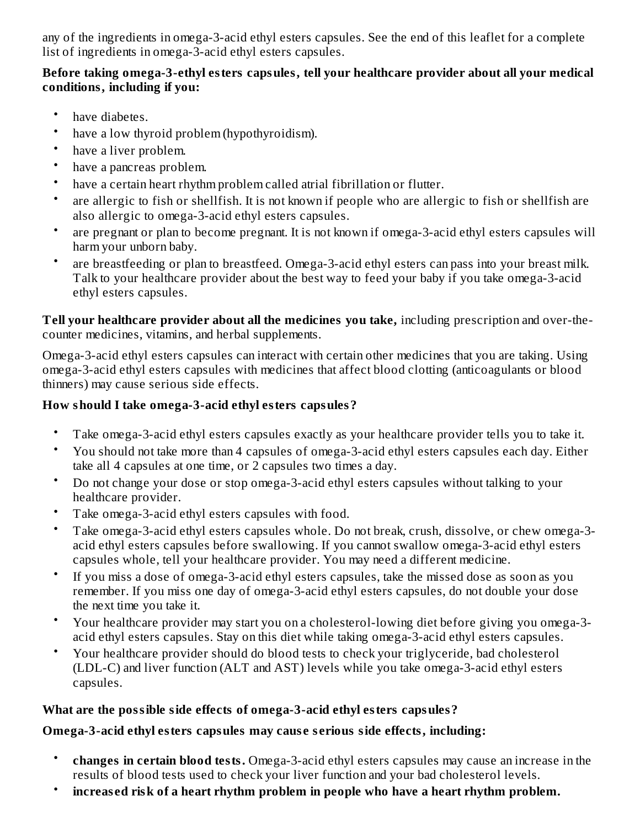any of the ingredients in omega-3-acid ethyl esters capsules. See the end of this leaflet for a complete list of ingredients in omega-3-acid ethyl esters capsules.

# **Before taking omega-3-ethyl esters capsules, tell your healthcare provider about all your medical conditions, including if you:**

- have diabetes.
- have a low thyroid problem (hypothyroidism).
- have a liver problem.
- have a pancreas problem.
- have a certain heart rhythm problem called atrial fibrillation or flutter.
- are allergic to fish or shellfish. It is not known if people who are allergic to fish or shellfish are also allergic to omega-3-acid ethyl esters capsules.
- are pregnant or plan to become pregnant. It is not known if omega-3-acid ethyl esters capsules will harm your unborn baby.
- are breastfeeding or plan to breastfeed. Omega-3-acid ethyl esters can pass into your breast milk. Talk to your healthcare provider about the best way to feed your baby if you take omega-3-acid ethyl esters capsules.

**Tell your healthcare provider about all the medicines you take,** including prescription and over-thecounter medicines, vitamins, and herbal supplements.

Omega-3-acid ethyl esters capsules can interact with certain other medicines that you are taking. Using omega-3-acid ethyl esters capsules with medicines that affect blood clotting (anticoagulants or blood thinners) may cause serious side effects.

# **How should I take omega-3-acid ethyl esters capsules?**

- Take omega-3-acid ethyl esters capsules exactly as your healthcare provider tells you to take it.
- You should not take more than 4 capsules of omega-3-acid ethyl esters capsules each day. Either take all 4 capsules at one time, or 2 capsules two times a day.
- Do not change your dose or stop omega-3-acid ethyl esters capsules without talking to your healthcare provider.
- Take omega-3-acid ethyl esters capsules with food.
- Take omega-3-acid ethyl esters capsules whole. Do not break, crush, dissolve, or chew omega-3 acid ethyl esters capsules before swallowing. If you cannot swallow omega-3-acid ethyl esters capsules whole, tell your healthcare provider. You may need a different medicine.
- If you miss a dose of omega-3-acid ethyl esters capsules, take the missed dose as soon as you remember. If you miss one day of omega-3-acid ethyl esters capsules, do not double your dose the next time you take it.
- Your healthcare provider may start you on a cholesterol-lowing diet before giving you omega-3 acid ethyl esters capsules. Stay on this diet while taking omega-3-acid ethyl esters capsules.
- Your healthcare provider should do blood tests to check your triglyceride, bad cholesterol (LDL-C) and liver function (ALT and AST) levels while you take omega-3-acid ethyl esters capsules.

# **What are the possible side effects of omega-3-acid ethyl esters capsules?**

# **Omega-3-acid ethyl esters capsules may caus e s erious side effects, including:**

- **changes in certain blood tests.** Omega-3-acid ethyl esters capsules may cause an increase in the results of blood tests used to check your liver function and your bad cholesterol levels.
- **increas ed risk of a heart rhythm problem in people who have a heart rhythm problem.**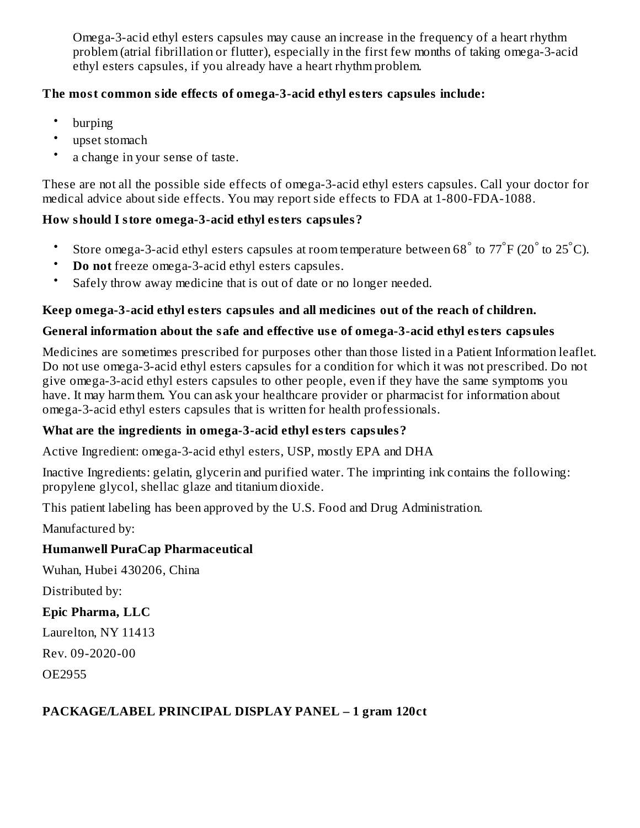Omega-3-acid ethyl esters capsules may cause an increase in the frequency of a heart rhythm problem (atrial fibrillation or flutter), especially in the first few months of taking omega-3-acid ethyl esters capsules, if you already have a heart rhythm problem.

# **The most common side effects of omega-3-acid ethyl esters capsules include:**

- burping
- upset stomach
- a change in your sense of taste.

These are not all the possible side effects of omega-3-acid ethyl esters capsules. Call your doctor for medical advice about side effects. You may report side effects to FDA at 1-800-FDA-1088.

### **How should I store omega-3-acid ethyl esters capsules?**

- Store omega-3-acid ethyl esters capsules at room temperature between 68 $\degree$  to 77 $\degree$ F (20 $\degree$  to 25 $\degree$ C).
- **Do not** freeze omega-3-acid ethyl esters capsules.
- Safely throw away medicine that is out of date or no longer needed.

### **Keep omega-3-acid ethyl esters capsules and all medicines out of the reach of children.**

### **General information about the safe and effective us e of omega-3-acid ethyl esters capsules**

Medicines are sometimes prescribed for purposes other than those listed in a Patient Information leaflet. Do not use omega-3-acid ethyl esters capsules for a condition for which it was not prescribed. Do not give omega-3-acid ethyl esters capsules to other people, even if they have the same symptoms you have. It may harm them. You can ask your healthcare provider or pharmacist for information about omega-3-acid ethyl esters capsules that is written for health professionals.

### **What are the ingredients in omega-3-acid ethyl esters capsules?**

Active Ingredient: omega-3-acid ethyl esters, USP, mostly EPA and DHA

Inactive Ingredients: gelatin, glycerin and purified water. The imprinting ink contains the following: propylene glycol, shellac glaze and titanium dioxide.

This patient labeling has been approved by the U.S. Food and Drug Administration.

Manufactured by:

### **Humanwell PuraCap Pharmaceutical**

Wuhan, Hubei 430206, China

Distributed by:

### **Epic Pharma, LLC**

Laurelton, NY 11413

Rev. 09-2020-00

OE2955

### **PACKAGE/LABEL PRINCIPAL DISPLAY PANEL – 1 gram 120ct**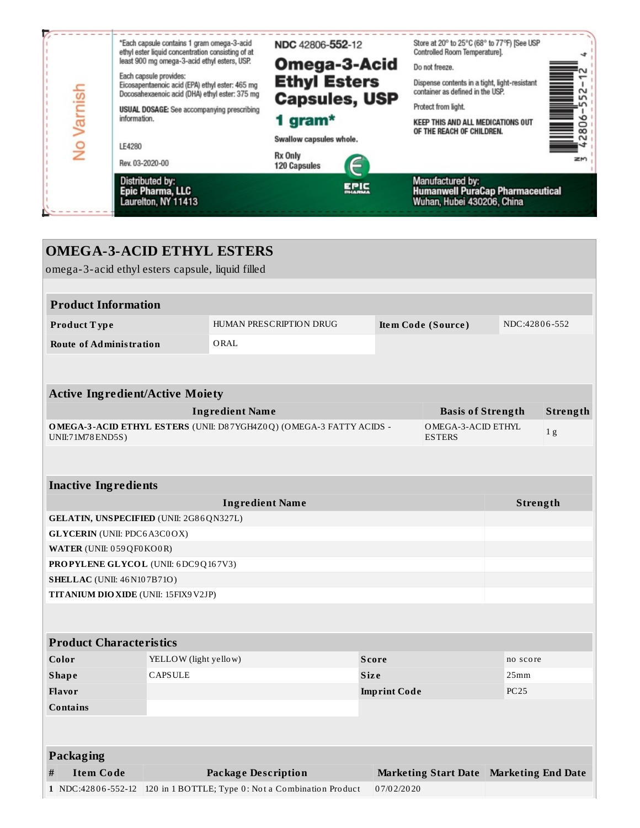|         | Distributed by:<br><b>Epic Pharma, LLC</b><br>Laurelton, NY 11413                                                           | <b>EPIC</b><br><b>DHARMA</b>   | Manufactured by:<br><b>Humanwell PuraCap Pharmaceutical</b><br>Wuhan, Hubei 430206, China |    |
|---------|-----------------------------------------------------------------------------------------------------------------------------|--------------------------------|-------------------------------------------------------------------------------------------|----|
|         | Rev. 03-2020-00                                                                                                             | Rx Only<br><b>120 Capsules</b> |                                                                                           | zm |
| £       | LE4280                                                                                                                      | Swallow capsules whole.        | <b>EXABLE</b>                                                                             |    |
| Varnish | information.                                                                                                                | 1 gram $*$                     | <b>KEEP THIS AND ALL MEDICATIONS OUT</b><br>OF THE REACH OF CHILDREN.                     |    |
|         | USUAL DOSAGE: See accompanying prescribing                                                                                  | <b>Capsules, USP</b>           | Protect from light.                                                                       |    |
|         | Each capsule provides:<br>Eicosapentaenoic acid (EPA) ethyl ester: 465 mg<br>Docosahexaenoic acid (DHA) ethyl ester: 375 mg | <b>Ethyl Esters</b>            | Dispense contents in a tight, light-resistant<br>container as defined in the USP.         | L  |
|         | least 900 mg omega-3-acid ethyl esters, USP.                                                                                | Omega-3-Acid                   | Do not freeze.                                                                            |    |
|         | *Each capsule contains 1 gram omega-3-acid<br>ethyl ester liquid concentration consisting of at                             | NDC 42806-552-12               | Store at 20° to 25°C (68° to 77°F) [See USP<br>Controlled Room Temperature].              |    |

|                                        | <b>OMEGA-3-ACID ETHYL ESTERS</b>                 |                       |                                                                     |                     |                                           |               |                |
|----------------------------------------|--------------------------------------------------|-----------------------|---------------------------------------------------------------------|---------------------|-------------------------------------------|---------------|----------------|
|                                        | omega-3-acid ethyl esters capsule, liquid filled |                       |                                                                     |                     |                                           |               |                |
|                                        |                                                  |                       |                                                                     |                     |                                           |               |                |
|                                        | <b>Product Information</b>                       |                       |                                                                     |                     |                                           |               |                |
|                                        | Product Type                                     |                       | HUMAN PRESCRIPTION DRUG                                             |                     | Item Code (Source)                        | NDC:42806-552 |                |
|                                        | <b>Route of Administration</b>                   |                       | ORAL                                                                |                     |                                           |               |                |
|                                        |                                                  |                       |                                                                     |                     |                                           |               |                |
|                                        | <b>Active Ingredient/Active Moiety</b>           |                       |                                                                     |                     |                                           |               |                |
|                                        |                                                  |                       | <b>Ingredient Name</b>                                              |                     | <b>Basis of Strength</b>                  |               | Strength       |
|                                        | UNII:71M78 END5S)                                |                       | OMEGA-3-ACID ETHYL ESTERS (UNII: D87YGH4Z0Q) (OMEGA-3 FATTY ACIDS - |                     | OMEGA-3-ACID ETHYL<br><b>ESTERS</b>       |               | 1 <sub>g</sub> |
|                                        |                                                  |                       |                                                                     |                     |                                           |               |                |
|                                        | <b>Inactive Ingredients</b>                      |                       |                                                                     |                     |                                           |               |                |
|                                        | <b>Ingredient Name</b><br>Strength               |                       |                                                                     |                     |                                           |               |                |
|                                        | GELATIN, UNSPECIFIED (UNII: 2G86QN327L)          |                       |                                                                     |                     |                                           |               |                |
|                                        | <b>GLYCERIN</b> (UNII: PDC6A3C0OX)               |                       |                                                                     |                     |                                           |               |                |
|                                        | WATER (UNII: 059QF0KO0R)                         |                       |                                                                     |                     |                                           |               |                |
|                                        | PROPYLENE GLYCOL (UNII: 6DC9Q167V3)              |                       |                                                                     |                     |                                           |               |                |
|                                        | <b>SHELLAC</b> (UNII: 46 N107B71O)               |                       |                                                                     |                     |                                           |               |                |
|                                        | <b>TITANIUM DIO XIDE (UNII: 15FIX9 V2JP)</b>     |                       |                                                                     |                     |                                           |               |                |
|                                        |                                                  |                       |                                                                     |                     |                                           |               |                |
|                                        | <b>Product Characteristics</b>                   |                       |                                                                     |                     |                                           |               |                |
|                                        | Color                                            | YELLOW (light yellow) |                                                                     | <b>Score</b>        |                                           | no score      |                |
| <b>CAPSULE</b><br><b>Shape</b><br>Size |                                                  |                       |                                                                     |                     | 25mm                                      |               |                |
|                                        | <b>Flavor</b>                                    |                       |                                                                     | <b>Imprint Code</b> |                                           | <b>PC25</b>   |                |
|                                        | Contains                                         |                       |                                                                     |                     |                                           |               |                |
|                                        |                                                  |                       |                                                                     |                     |                                           |               |                |
|                                        | Packaging                                        |                       |                                                                     |                     |                                           |               |                |
| #                                      | <b>Item Code</b>                                 |                       | <b>Package Description</b>                                          |                     | Marketing Start Date   Marketing End Date |               |                |
|                                        | 1 NDC:42806-552-12                               |                       | 120 in 1 BOTTLE; Type 0: Not a Combination Product                  | 07/02/2020          |                                           |               |                |